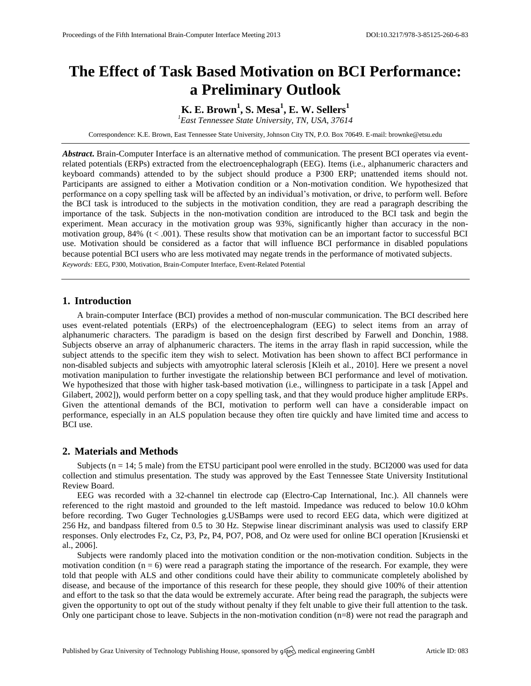# **The Effect of Task Based Motivation on BCI Performance: a Preliminary Outlook**

**K. E. Brown<sup>1</sup> , S. Mesa<sup>1</sup> , E. W. Sellers<sup>1</sup>**

*<sup>1</sup>East Tennessee State University, TN, USA, 37614*

Correspondence: K.E. Brown, East Tennessee State University, Johnson City TN, P.O. Box 70649. E-mail[: brownke@etsu.edu](mailto:corresponding.author@address.com)

*Abstract***.** Brain-Computer Interface is an alternative method of communication. The present BCI operates via eventrelated potentials (ERPs) extracted from the electroencephalograph (EEG). Items (i.e., alphanumeric characters and keyboard commands) attended to by the subject should produce a P300 ERP; unattended items should not. Participants are assigned to either a Motivation condition or a Non-motivation condition. We hypothesized that performance on a copy spelling task will be affected by an individual's motivation, or drive, to perform well. Before the BCI task is introduced to the subjects in the motivation condition, they are read a paragraph describing the importance of the task. Subjects in the non-motivation condition are introduced to the BCI task and begin the experiment. Mean accuracy in the motivation group was 93%, significantly higher than accuracy in the nonmotivation group,  $84\%$  (t < .001). These results show that motivation can be an important factor to successful BCI use. Motivation should be considered as a factor that will influence BCI performance in disabled populations because potential BCI users who are less motivated may negate trends in the performance of motivated subjects. *Keywords:* EEG, P300, Motivation, Brain-Computer Interface, Event-Related Potential

## **1. Introduction**

A brain-computer Interface (BCI) provides a method of non-muscular communication. The BCI described here uses event-related potentials (ERPs) of the electroencephalogram (EEG) to select items from an array of alphanumeric characters. The paradigm is based on the design first described by Farwell and Donchin, 1988. Subjects observe an array of alphanumeric characters. The items in the array flash in rapid succession, while the subject attends to the specific item they wish to select. Motivation has been shown to affect BCI performance in non-disabled subjects and subjects with amyotrophic lateral sclerosis [Kleih et al., 2010]. Here we present a novel motivation manipulation to further investigate the relationship between BCI performance and level of motivation. We hypothesized that those with higher task-based motivation (i.e., willingness to participate in a task [Appel and Gilabert, 2002]), would perform better on a copy spelling task, and that they would produce higher amplitude ERPs. Given the attentional demands of the BCI, motivation to perform well can have a considerable impact on performance, especially in an ALS population because they often tire quickly and have limited time and access to BCI use.

### **2. Materials and Methods**

Subjects  $(n = 14; 5 \text{ male})$  from the ETSU participant pool were enrolled in the study. BCI2000 was used for data collection and stimulus presentation. The study was approved by the East Tennessee State University Institutional Review Board.

EEG was recorded with a 32-channel tin electrode cap (Electro-Cap International, Inc.). All channels were referenced to the right mastoid and grounded to the left mastoid. Impedance was reduced to below 10.0 kOhm before recording. Two Guger Technologies g.USBamps were used to record EEG data, which were digitized at 256 Hz, and bandpass filtered from 0.5 to 30 Hz. Stepwise linear discriminant analysis was used to classify ERP responses. Only electrodes Fz, Cz, P3, Pz, P4, PO7, PO8, and Oz were used for online BCI operation [Krusienski et al., 2006].

Subjects were randomly placed into the motivation condition or the non-motivation condition. Subjects in the motivation condition  $(n = 6)$  were read a paragraph stating the importance of the research. For example, they were told that people with ALS and other conditions could have their ability to communicate completely abolished by disease, and because of the importance of this research for these people, they should give 100% of their attention and effort to the task so that the data would be extremely accurate. After being read the paragraph, the subjects were given the opportunity to opt out of the study without penalty if they felt unable to give their full attention to the task. Only one participant chose to leave. Subjects in the non-motivation condition (n=8) were not read the paragraph and